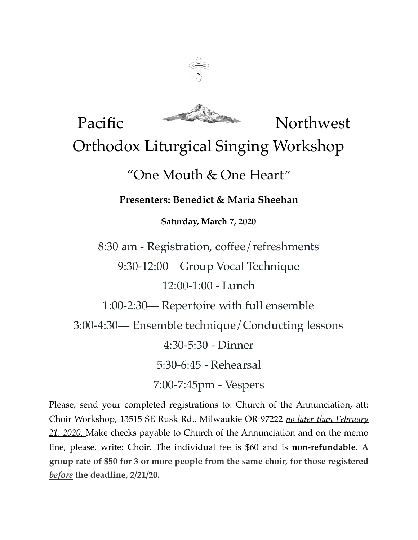

Pacific Northwest Orthodox Liturgical Singing Workshop "One Mouth & One Heart*"* **Presenters: Benedict & Maria Sheehan Saturday, March 7, 2020** 8:30 am - Registration, coffee/refreshments 9:30-12:00—Group Vocal Technique 12:00-1:00 - Lunch 1:00-2:30— Repertoire with full ensemble 3:00-4:30— Ensemble technique/Conducting lessons 4:30-5:30 - Dinner 5:30-6:45 - Rehearsal 7:00-7:45pm - Vespers

Please, send your completed registrations to: Church of the Annunciation, att: Choir Workshop, 13515 SE Rusk Rd., Milwaukie OR 97222 *no later than February 21, 2020.* Make checks payable to Church of the Annunciation and on the memo line, please, write: Choir. The individual fee is \$60 and is **non-refundable. A group rate of \$50 for 3 or more people from the same choir, for those registered**  *before* **the deadline, 2/21/20.**